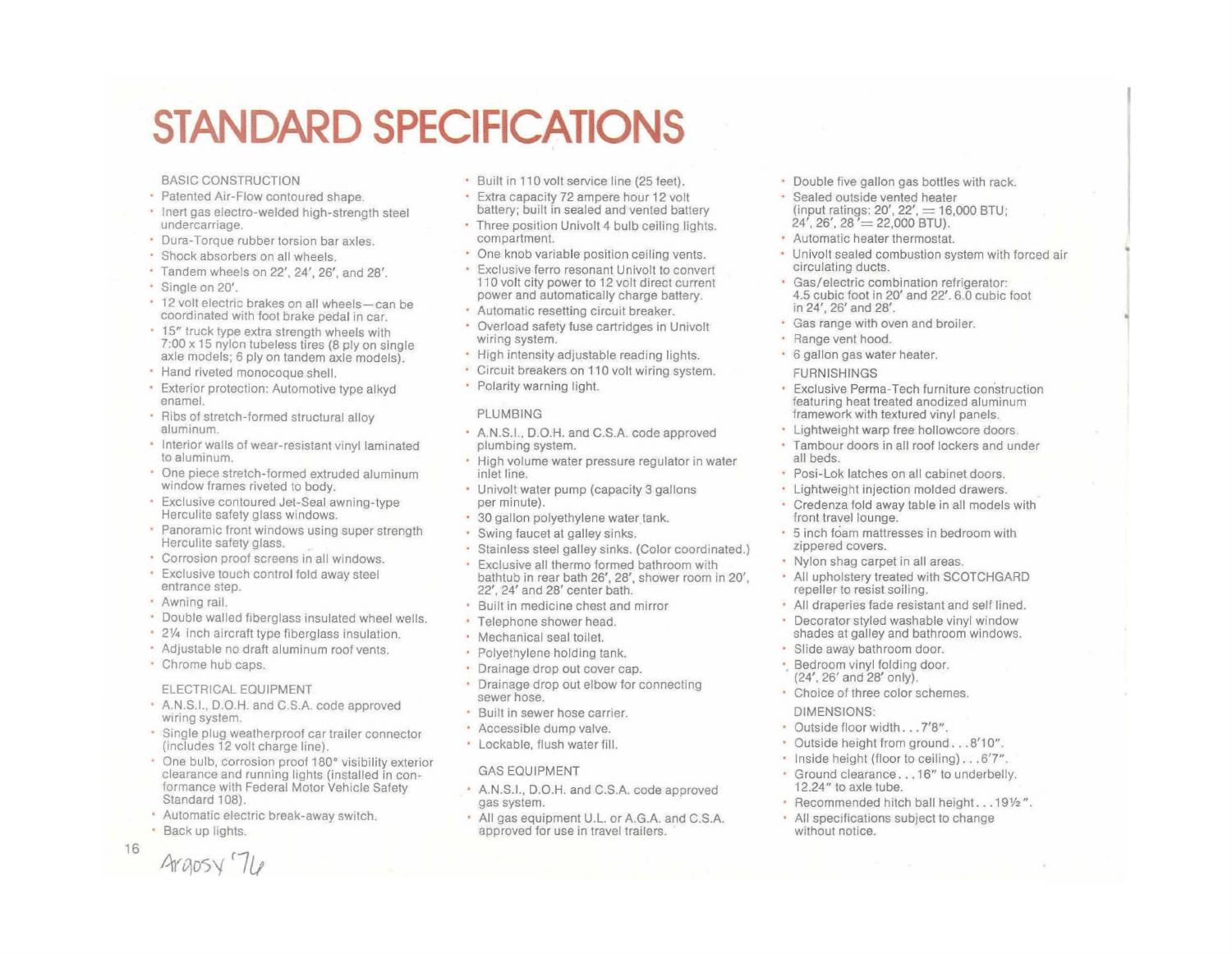# **STANDARD SPECIFICATIONS**

#### BASIC CONSTRUCTION

- Patented Air-Flow contoured shape.
- Inert gas electro-welded high-strength steel undercarriage.
- Dura-Torque rubber torsion bar axles.
- Shock absorbers on all wheels.
- Tandem wheels on 22', 24', 26', and 28'.
- Single on 20'.
- 12 volt electric brakes on all wheels-can be coordinated with foot brake pedal in car.
- 15" truck type extra strength wheels with 7:00 x 15 nylon tubeless tires (8 ply on single axle models; 6 ply on tandem axle models).
- Hand riveted monocoque shell.
- Exterior protection: Automotive type alkyd enamel.
- Ribs of stretch-formed structural alloy aluminum.
- Interior walls of wear-resistant vinyl laminated to aluminum.
- One piece stretch-formed extruded aluminum window frames riveted to body.
- Exclusive contoured Jet-Seal awning-type Herculite safety glass windows.
- Panoramic front windows using super strength Herculite safety glass.
- Corrosion proof screens in all windows.
- Exclusive touch control fold away steel entrance step.
- Awning rail.
- Double walled fiberglass insulated wheel wells.
- *2V4* inch aircraft type fiberglass insulation.
- Adjustable no draft aluminum roof vents.
- Chrome hub caps.

#### ELECTRICAL EQUIPMENT

- A.NS.I., D.O.H. and C.SA code approved wiring system.
- Single plug weatherproof car trailer connector (includes 12 volt charge line).
- One bulb, corrosion proof 180° visibility exterior clearance and running lights (installed in conformance with Federal Motor Vehicle Safety Standard 108).
- Automatic electric break-away switch.
- Back up lights.

Araosy'

- Built in 110 volt service line (25 feet).
- Extra capacity 72 ampere hour 12 volt battery; built in sealed and vented battery
- Three position Univolt 4 bulb ceiling lights. compartment.
- One knob variable position ceiling vents.
- Exclusive ferro resonant Univolt to convert 110 volt city power to 12 volt direct current power and automatically charge battery.
- Automatic resetting circuit breaker.
- Overload safety fuse cartridges in Univolt wiring system.
- High intensity adjustable reading lights.
- Circuit breakers on 110 volt wiring system.
- Polarity warning light.

#### PLUMBING

- AN.S.I.. D.O.H. and C.SA code approved plumbing system.
- High volume water pressure regulator in water inlet line.
- Univolt water pump (capacity 3 gallons per minute).
- 30 gallon polyethylene water tank.
- Swing faucet at galley sinks.
- Stainless steel galley sinks. (Color coordinated.)
- Exclusive all thermo formed bathroom with bathtub in rear bath 26', 28', shower room in 20'. 22', 24' and 28' center bath.
- Built in medicine chest and mirror
- Telephone shower head.
- Mechanical seal toilet.
- Polyethylene holding tank.
- Drainage drop out cover cap.
- Drainage drop out elbow for connecting sewer hose.
- Built in sewer hose carrier.
- Accessible dump valve.
- Lockable, flush water fill.

### GAS EQUIPMENT

- AN.S.I.. D.O.H. and C.SA code approved gas system.
- All gas equipment U.L. or AG.A. and C.S.A. approved for use in travel trailers.
- Double five gallon gas bottles with rack.
- Sealed outside vented heater (input ratings: 20', 22', = 16,000 BTU;<br>24', 26', 28 '= 22,000 BTU).
- Automatic heater thermostat.
- Univolt sealed combustion system with forced air circulating ducts.
- Gas/electric combination refrigerator: 4.5 cubic foot in 20' and 22'.6.0 cubic foot in 24', 26' and 28'.
- Gas range with oven and broiler.
- · Range vent hood.
- 6 gallon gas water heater. FURNISHINGS
	-
- Exclusive Perma-Tech furniture construction featuring heat treated anodized aluminum framework with textured vinyl panels.
- Lightweight warp free hollowcore doors.
- Tambour doors in all roof lockers and under all beds.
- Posi-Lok latches on all cabinet doors.
- Lightweight injection molded drawers.
- Credenza fold away table in all models with front travel lounge.
- 5 inch foam mattresses in bedroom with zippered covers.
- Nylon shag carpet in all areas.
- All upholstery treated with SCOTCHGARD repeller to resist soiling.
- All draperies fade resistant and self lined.
- Decorator styled washable vinyl window shades at galley and bathroom windows.
- Slide away bathroom door.
- Bedroom vinyl folding door. (24', 26' and 28' only).
- Choice of three color schemes. DIMENSIONS:
- Outside floor width . . . 7'8".
- Outside height from ground...8'10".
- Inside height (floor to ceiling)...6'7".
- Ground clearance ... 16" to underbelly. 12.24" to axle tube.
- · Recommended hitch ball height. . . 191/2".
- All specifications SUbject to change without notice.

16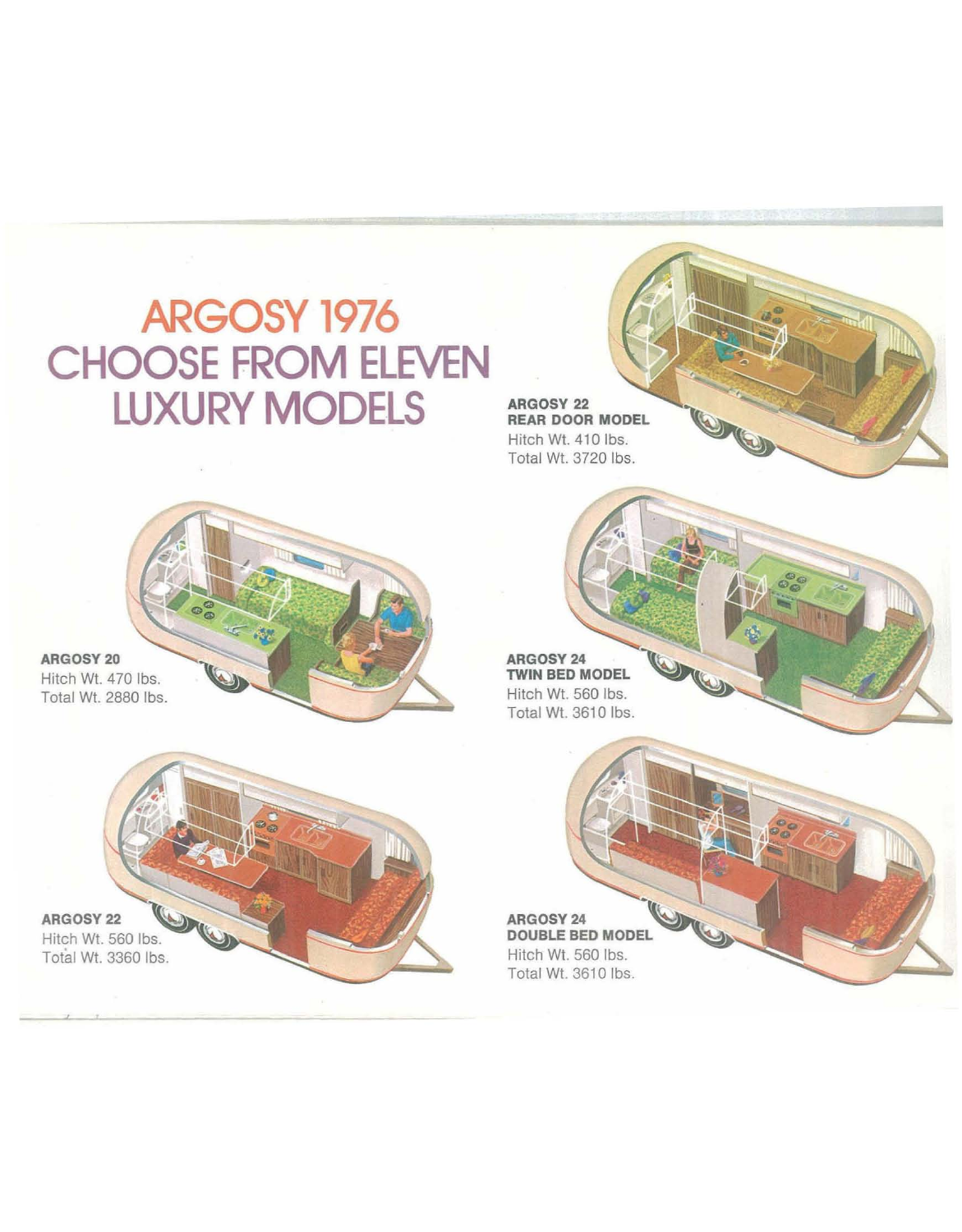## ARGOSY 1976 **CHOOSE FROM ELEVEN LUXURY MODELS**

**ARGOSY 22 REAR DOOR MODEL** Hitch Wt. 410 lbs. Total WI. 3720 Ibs.

ARGOSY 24 **TWIN BED MODEL** Hitch Wt. 560 lbs. Total WI. 3610 Ibs.

**ARGOSY 24 DOUBLE BED MODEL** Hitch Wt. 560 lbs. Total Wt. 3610 lbs.

ARGOSY 22 Hitch Wt. 560 lbs. Total Wt. 3360 Ibs.